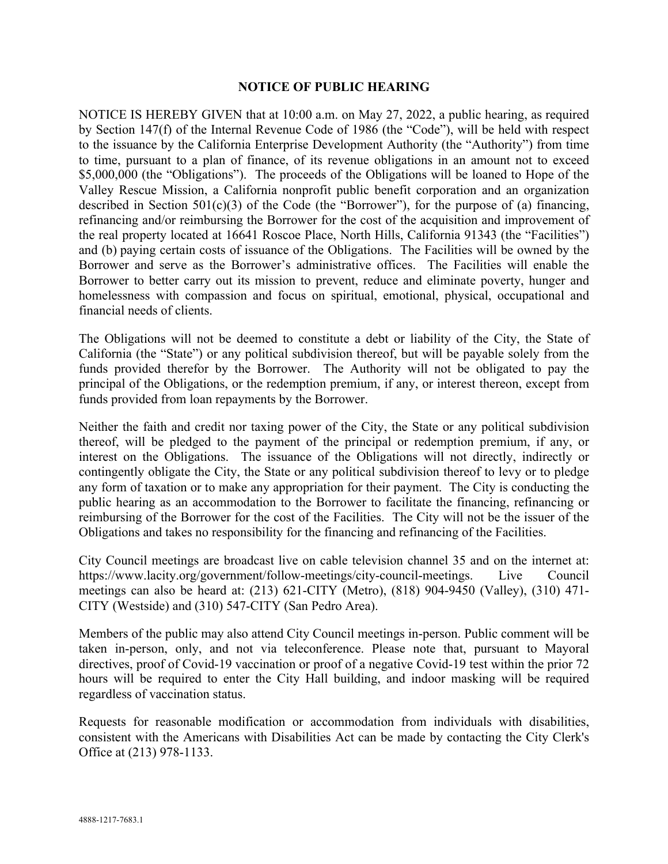## **NOTICE OF PUBLIC HEARING**

NOTICE IS HEREBY GIVEN that at 10:00 a.m. on May 27, 2022, a public hearing, as required by Section 147(f) of the Internal Revenue Code of 1986 (the "Code"), will be held with respect to the issuance by the California Enterprise Development Authority (the "Authority") from time to time, pursuant to a plan of finance, of its revenue obligations in an amount not to exceed \$5,000,000 (the "Obligations"). The proceeds of the Obligations will be loaned to Hope of the Valley Rescue Mission, a California nonprofit public benefit corporation and an organization described in Section  $501(c)(3)$  of the Code (the "Borrower"), for the purpose of (a) financing, refinancing and/or reimbursing the Borrower for the cost of the acquisition and improvement of the real property located at 16641 Roscoe Place, North Hills, California 91343 (the "Facilities") and (b) paying certain costs of issuance of the Obligations. The Facilities will be owned by the Borrower and serve as the Borrower's administrative offices. The Facilities will enable the Borrower to better carry out its mission to prevent, reduce and eliminate poverty, hunger and homelessness with compassion and focus on spiritual, emotional, physical, occupational and financial needs of clients.

The Obligations will not be deemed to constitute a debt or liability of the City, the State of California (the "State") or any political subdivision thereof, but will be payable solely from the funds provided therefor by the Borrower. The Authority will not be obligated to pay the principal of the Obligations, or the redemption premium, if any, or interest thereon, except from funds provided from loan repayments by the Borrower.

Neither the faith and credit nor taxing power of the City, the State or any political subdivision thereof, will be pledged to the payment of the principal or redemption premium, if any, or interest on the Obligations. The issuance of the Obligations will not directly, indirectly or contingently obligate the City, the State or any political subdivision thereof to levy or to pledge any form of taxation or to make any appropriation for their payment. The City is conducting the public hearing as an accommodation to the Borrower to facilitate the financing, refinancing or reimbursing of the Borrower for the cost of the Facilities. The City will not be the issuer of the Obligations and takes no responsibility for the financing and refinancing of the Facilities.

City Council meetings are broadcast live on cable television channel 35 and on the internet at: https://www.lacity.org/government/follow-meetings/city-council-meetings. Live Council meetings can also be heard at: (213) 621-CITY (Metro), (818) 904-9450 (Valley), (310) 471- CITY (Westside) and (310) 547-CITY (San Pedro Area).

Members of the public may also attend City Council meetings in-person. Public comment will be taken in-person, only, and not via teleconference. Please note that, pursuant to Mayoral directives, proof of Covid-19 vaccination or proof of a negative Covid-19 test within the prior 72 hours will be required to enter the City Hall building, and indoor masking will be required regardless of vaccination status.

Requests for reasonable modification or accommodation from individuals with disabilities, consistent with the Americans with Disabilities Act can be made by contacting the City Clerk's Office at (213) 978-1133.